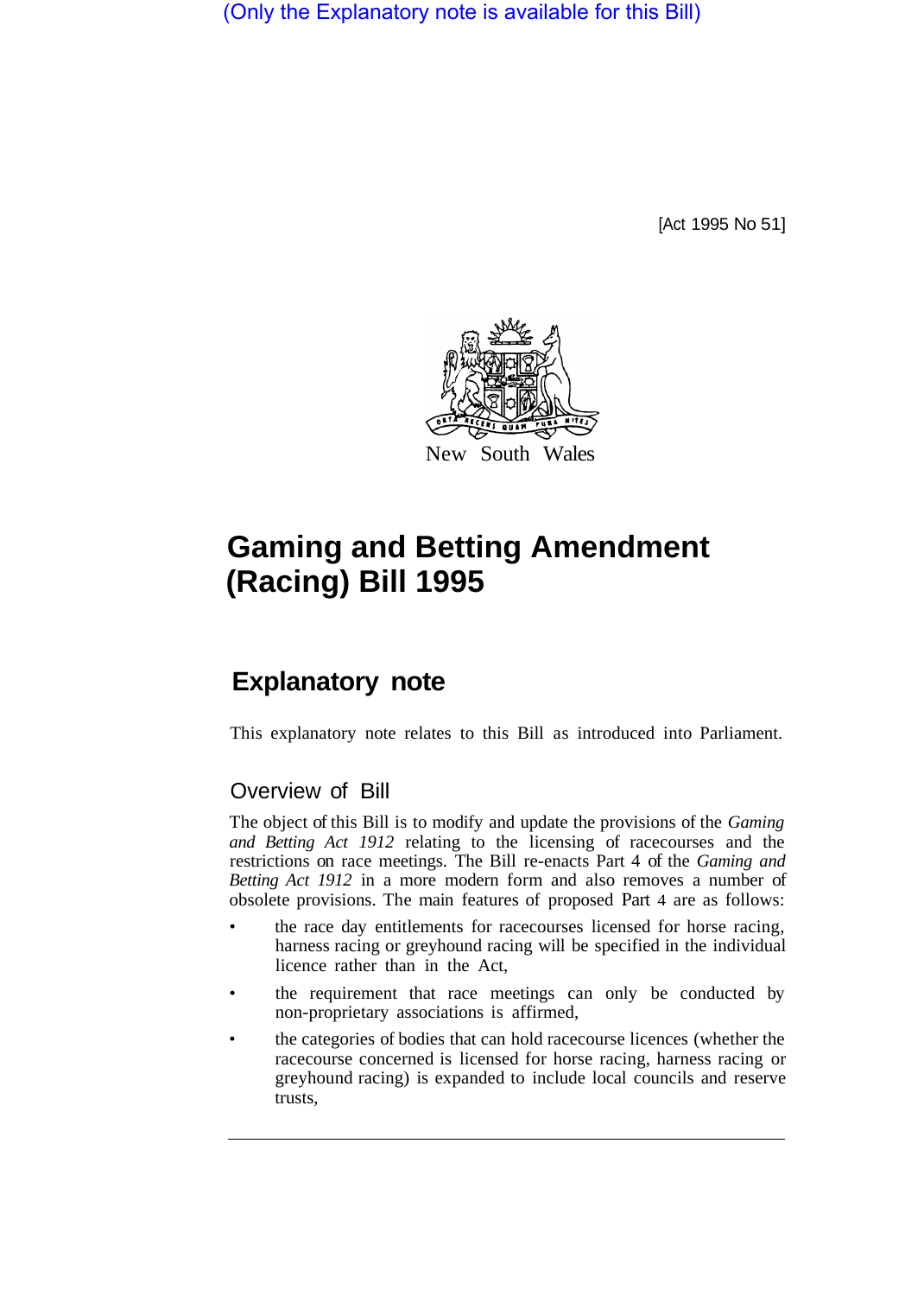(Only the Explanatory note is available for this Bill)

[Act 1995 No 51]



# **Gaming and Betting Amendment (Racing) Bill 1995**

## **Explanatory note**

This explanatory note relates to this Bill as introduced into Parliament.

### Overview of Bill

The object of this Bill is to modify and update the provisions of the *Gaming and Betting Act 1912* relating to the licensing of racecourses and the restrictions on race meetings. The Bill re-enacts Part 4 of the *Gaming and Betting Act 1912* in a more modern form and also removes a number of obsolete provisions. The main features of proposed Part 4 are as follows:

- the race day entitlements for racecourses licensed for horse racing, harness racing or greyhound racing will be specified in the individual licence rather than in the Act,
- the requirement that race meetings can only be conducted by non-proprietary associations is affirmed,
- the categories of bodies that can hold racecourse licences (whether the racecourse concerned is licensed for horse racing, harness racing or greyhound racing) is expanded to include local councils and reserve trusts,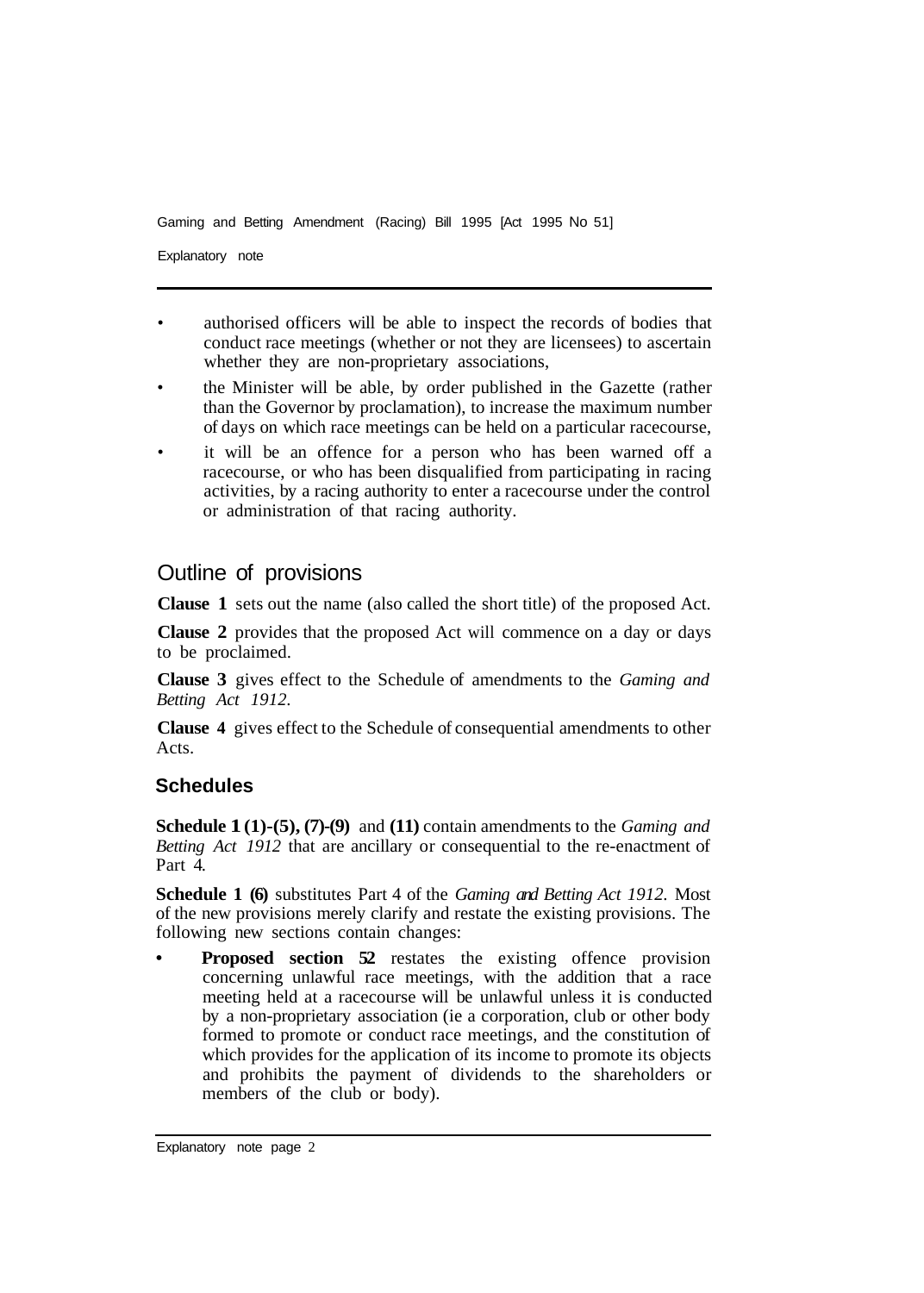Gaming and Betting Amendment (Racing) Bill 1995 [Act 1995 No 51]

Explanatory note

- authorised officers will be able to inspect the records of bodies that conduct race meetings (whether or not they are licensees) to ascertain whether they are non-proprietary associations,
- the Minister will be able, by order published in the Gazette (rather than the Governor by proclamation), to increase the maximum number of days on which race meetings can be held on a particular racecourse,
- it will be an offence for a person who has been warned off a racecourse, or who has been disqualified from participating in racing activities, by a racing authority to enter a racecourse under the control or administration of that racing authority.

### Outline of provisions

**Clause 1** sets out the name (also called the short title) of the proposed Act.

**Clause 2** provides that the proposed Act will commence on a day or days to be proclaimed.

**Clause 3** gives effect to the Schedule of amendments to the *Gaming and Betting Act 1912.* 

**Clause 4** gives effect to the Schedule of consequential amendments to other Acts.

#### **Schedules**

**Schedule 1 (1)-(5), (7)-(9)** and **(11)** contain amendments to the *Gaming and Betting Act 1912* that are ancillary or consequential to the re-enactment of Part 4.

**Schedule 1 (6)** substitutes Part 4 of the *Gaming and Betting Act 1912.* Most of the new provisions merely clarify and restate the existing provisions. The following new sections contain changes:

**Proposed section 52** restates the existing offence provision concerning unlawful race meetings, with the addition that a race meeting held at a racecourse will be unlawful unless it is conducted by a non-proprietary association (ie a corporation, club or other body formed to promote or conduct race meetings, and the constitution of which provides for the application of its income to promote its objects and prohibits the payment of dividends to the shareholders or members of the club or body).

Explanatory note page 2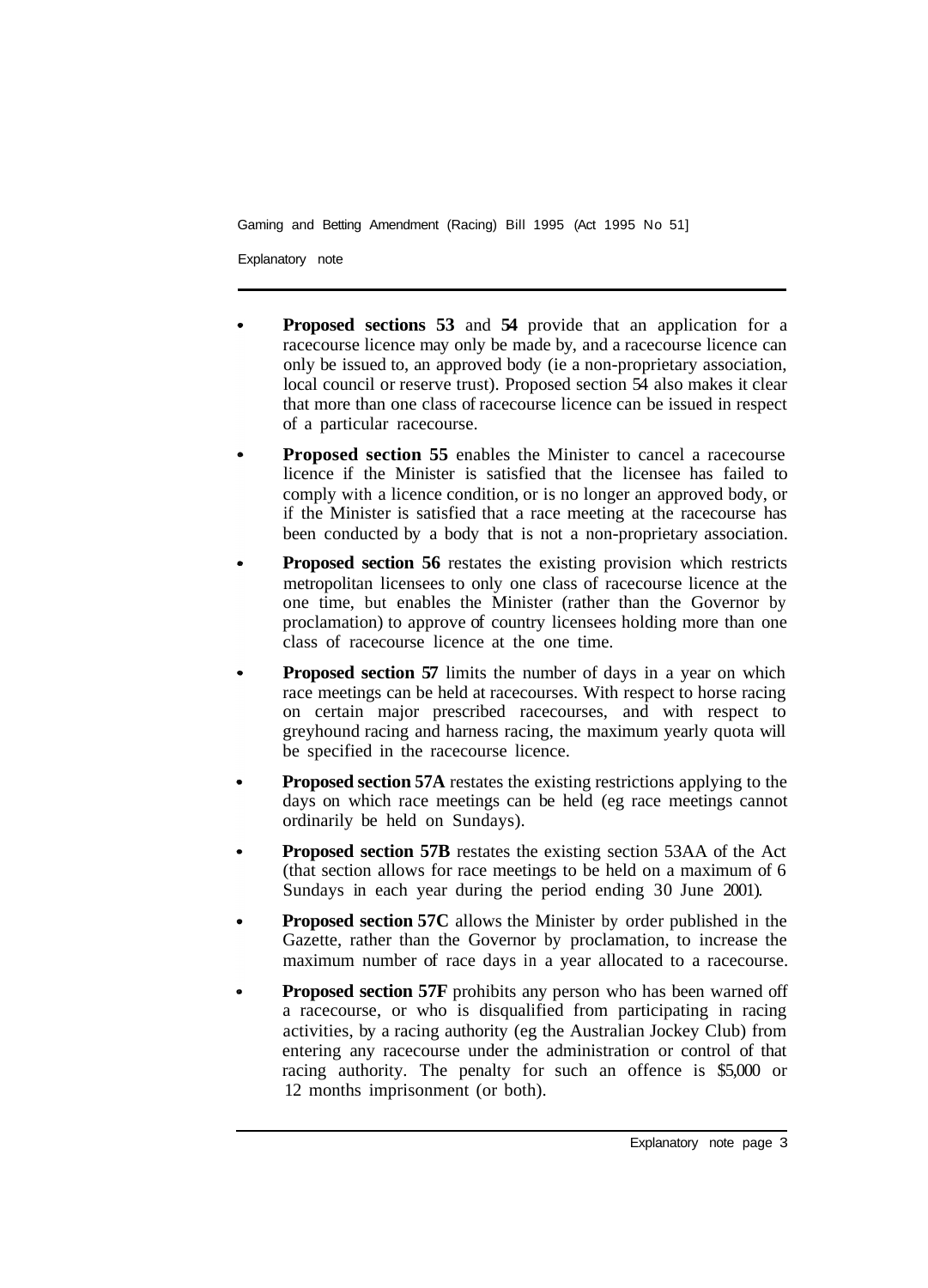Gaming and Betting Amendment (Racing) Bill 1995 (Act 1995 No 51]

Explanatory note

- **Proposed sections 53** and **54** provide that an application for a racecourse licence may only be made by, and a racecourse licence can only be issued to, an approved body (ie a non-proprietary association, local council or reserve trust). Proposed section 54 also makes it clear that more than one class of racecourse licence can be issued in respect of a particular racecourse.
- **Proposed section 55** enables the Minister to cancel a racecourse licence if the Minister is satisfied that the licensee has failed to comply with a licence condition, or is no longer an approved body, or if the Minister is satisfied that a race meeting at the racecourse has been conducted by a body that is not a non-proprietary association.
- **Proposed section 56** restates the existing provision which restricts metropolitan licensees to only one class of racecourse licence at the one time, but enables the Minister (rather than the Governor by proclamation) to approve of country licensees holding more than one class of racecourse licence at the one time.
- **Proposed section 57** limits the number of days in a year on which race meetings can be held at racecourses. With respect to horse racing on certain major prescribed racecourses, and with respect to greyhound racing and harness racing, the maximum yearly quota will be specified in the racecourse licence.
- **Proposed section 57A** restates the existing restrictions applying to the days on which race meetings can be held (eg race meetings cannot ordinarily be held on Sundays).
- **Proposed section 57B** restates the existing section 53AA of the Act (that section allows for race meetings to be held on a maximum of 6 Sundays in each year during the period ending 30 June 2001).
- **Proposed section 57C** allows the Minister by order published in the Gazette, rather than the Governor by proclamation, to increase the maximum number of race days in a year allocated to a racecourse.
- **Proposed section 57F** prohibits any person who has been warned off a racecourse, or who is disqualified from participating in racing activities, by a racing authority (eg the Australian Jockey Club) from entering any racecourse under the administration or control of that racing authority. The penalty for such an offence is \$5,000 or 12 months imprisonment (or both).